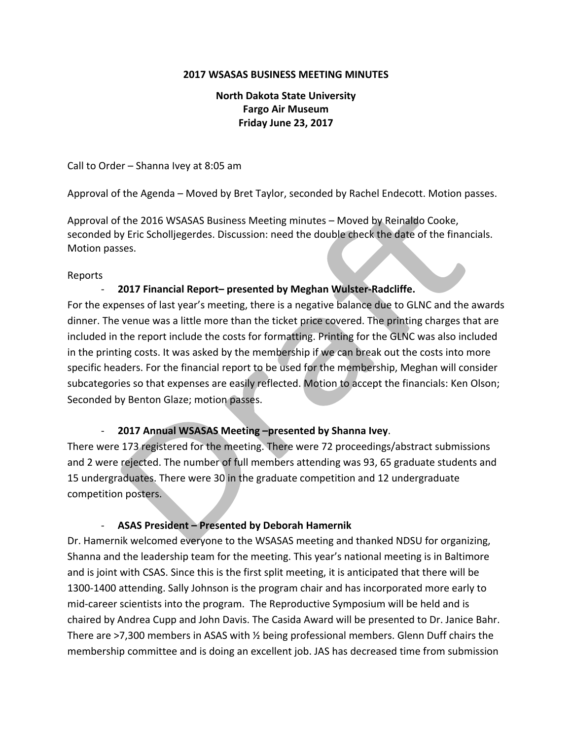#### **2017 WSASAS BUSINESS MEETING MINUTES**

## **North Dakota State University Fargo Air Museum Friday June 23, 2017**

Call to Order – Shanna Ivey at  $8:05$  am

Approval of the Agenda – Moved by Bret Taylor, seconded by Rachel Endecott. Motion passes.

Approval of the 2016 WSASAS Business Meeting minutes - Moved by Reinaldo Cooke, seconded by Eric Scholljegerdes. Discussion: need the double check the date of the financials. Motion passes.

#### Reports

## - **2017 Financial Report– presented by Meghan Wulster-Radcliffe.**

For the expenses of last year's meeting, there is a negative balance due to GLNC and the awards dinner. The venue was a little more than the ticket price covered. The printing charges that are included in the report include the costs for formatting. Printing for the GLNC was also included in the printing costs. It was asked by the membership if we can break out the costs into more specific headers. For the financial report to be used for the membership, Meghan will consider subcategories so that expenses are easily reflected. Motion to accept the financials: Ken Olson; Seconded by Benton Glaze; motion passes.

## - **2017 Annual WSASAS Meeting –presented by Shanna Ivey**.

There were 173 registered for the meeting. There were 72 proceedings/abstract submissions and 2 were rejected. The number of full members attending was 93, 65 graduate students and 15 undergraduates. There were 30 in the graduate competition and 12 undergraduate competition posters.

## - **ASAS President – Presented by Deborah Hamernik**

Dr. Hamernik welcomed everyone to the WSASAS meeting and thanked NDSU for organizing, Shanna and the leadership team for the meeting. This year's national meeting is in Baltimore and is joint with CSAS. Since this is the first split meeting, it is anticipated that there will be 1300-1400 attending. Sally Johnson is the program chair and has incorporated more early to mid-career scientists into the program. The Reproductive Symposium will be held and is chaired by Andrea Cupp and John Davis. The Casida Award will be presented to Dr. Janice Bahr. There are  $\geq$ 7,300 members in ASAS with  $\frac{1}{2}$  being professional members. Glenn Duff chairs the membership committee and is doing an excellent job. JAS has decreased time from submission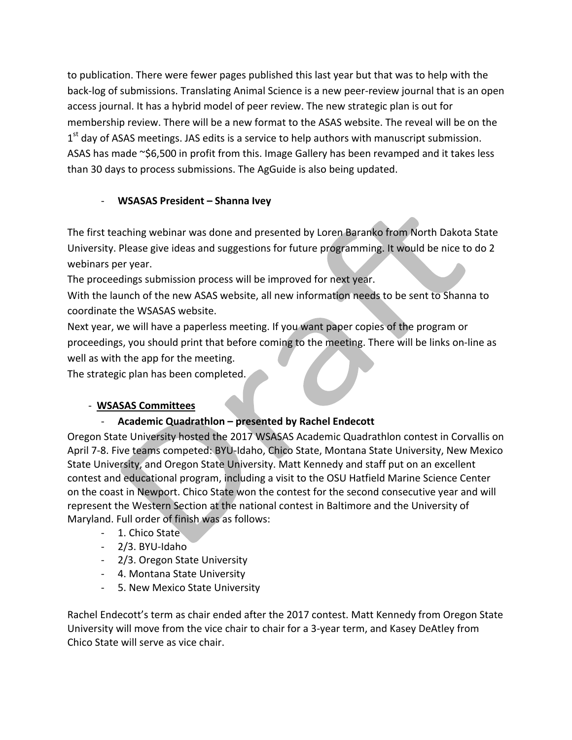to publication. There were fewer pages published this last year but that was to help with the back-log of submissions. Translating Animal Science is a new peer-review journal that is an open access journal. It has a hybrid model of peer review. The new strategic plan is out for membership review. There will be a new format to the ASAS website. The reveal will be on the  $1<sup>st</sup>$  day of ASAS meetings. JAS edits is a service to help authors with manuscript submission. ASAS has made  $\sim$ \$6,500 in profit from this. Image Gallery has been revamped and it takes less than 30 days to process submissions. The AgGuide is also being updated.

# - **WSASAS President – Shanna Ivey**

The first teaching webinar was done and presented by Loren Baranko from North Dakota State University. Please give ideas and suggestions for future programming. It would be nice to do 2 webinars per year.

The proceedings submission process will be improved for next year.

With the launch of the new ASAS website, all new information needs to be sent to Shanna to coordinate the WSASAS website.

Next year, we will have a paperless meeting. If you want paper copies of the program or proceedings, you should print that before coming to the meeting. There will be links on-line as well as with the app for the meeting.

The strategic plan has been completed.

# - **WSASAS Committees**

# - Academic Quadrathlon – presented by Rachel Endecott

Oregon State University hosted the 2017 WSASAS Academic Quadrathlon contest in Corvallis on April 7-8. Five teams competed: BYU-Idaho, Chico State, Montana State University, New Mexico State University, and Oregon State University. Matt Kennedy and staff put on an excellent contest and educational program, including a visit to the OSU Hatfield Marine Science Center on the coast in Newport. Chico State won the contest for the second consecutive year and will represent the Western Section at the national contest in Baltimore and the University of Maryland. Full order of finish was as follows:

- 1. Chico State
- 2/3. BYU-Idaho
- 2/3. Oregon State University
- 4. Montana State University
- 5. New Mexico State University

Rachel Endecott's term as chair ended after the 2017 contest. Matt Kennedy from Oregon State University will move from the vice chair to chair for a 3-year term, and Kasey DeAtley from Chico State will serve as vice chair.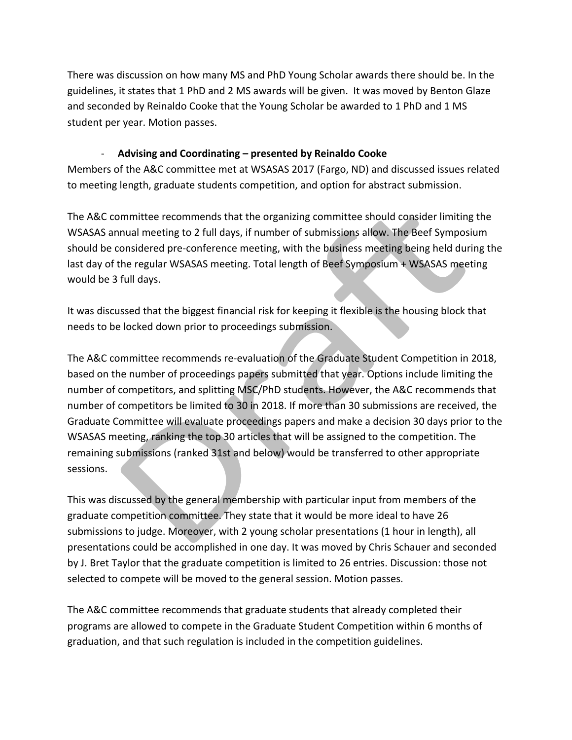There was discussion on how many MS and PhD Young Scholar awards there should be. In the guidelines, it states that 1 PhD and 2 MS awards will be given. It was moved by Benton Glaze and seconded by Reinaldo Cooke that the Young Scholar be awarded to 1 PhD and 1 MS student per year. Motion passes.

## - Advising and Coordinating – presented by Reinaldo Cooke

Members of the A&C committee met at WSASAS 2017 (Fargo, ND) and discussed issues related to meeting length, graduate students competition, and option for abstract submission.

The A&C committee recommends that the organizing committee should consider limiting the WSASAS annual meeting to 2 full days, if number of submissions allow. The Beef Symposium should be considered pre-conference meeting, with the business meeting being held during the last day of the regular WSASAS meeting. Total length of Beef Symposium + WSASAS meeting would be 3 full days.

It was discussed that the biggest financial risk for keeping it flexible is the housing block that needs to be locked down prior to proceedings submission.

The A&C committee recommends re-evaluation of the Graduate Student Competition in 2018, based on the number of proceedings papers submitted that year. Options include limiting the number of competitors, and splitting MSC/PhD students. However, the A&C recommends that number of competitors be limited to 30 in 2018. If more than 30 submissions are received, the Graduate Committee will evaluate proceedings papers and make a decision 30 days prior to the WSASAS meeting, ranking the top 30 articles that will be assigned to the competition. The remaining submissions (ranked 31st and below) would be transferred to other appropriate sessions. 

This was discussed by the general membership with particular input from members of the graduate competition committee. They state that it would be more ideal to have 26 submissions to judge. Moreover, with 2 young scholar presentations (1 hour in length), all presentations could be accomplished in one day. It was moved by Chris Schauer and seconded by J. Bret Taylor that the graduate competition is limited to 26 entries. Discussion: those not selected to compete will be moved to the general session. Motion passes.

The A&C committee recommends that graduate students that already completed their programs are allowed to compete in the Graduate Student Competition within 6 months of graduation, and that such regulation is included in the competition guidelines.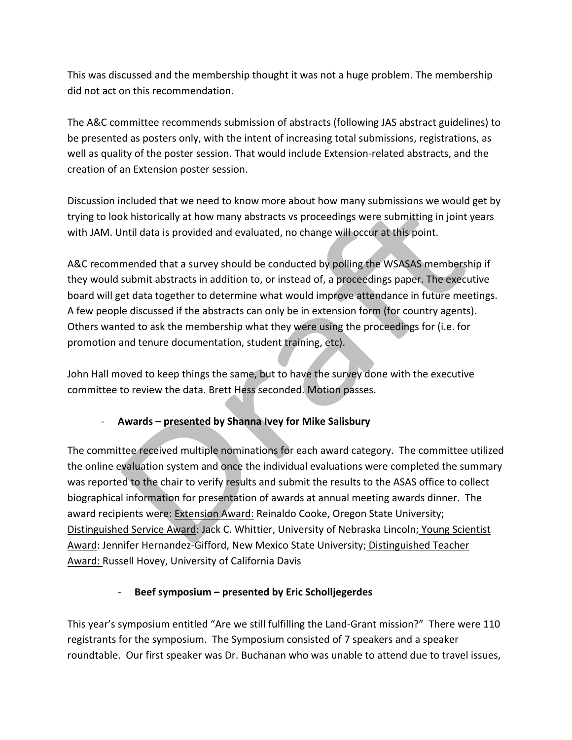This was discussed and the membership thought it was not a huge problem. The membership did not act on this recommendation.

The A&C committee recommends submission of abstracts (following JAS abstract guidelines) to be presented as posters only, with the intent of increasing total submissions, registrations, as well as quality of the poster session. That would include Extension-related abstracts, and the creation of an Extension poster session.

Discussion included that we need to know more about how many submissions we would get by trying to look historically at how many abstracts vs proceedings were submitting in joint years with JAM. Until data is provided and evaluated, no change will occur at this point.

A&C recommended that a survey should be conducted by polling the WSASAS membership if they would submit abstracts in addition to, or instead of, a proceedings paper. The executive board will get data together to determine what would improve attendance in future meetings. A few people discussed if the abstracts can only be in extension form (for country agents). Others wanted to ask the membership what they were using the proceedings for (i.e. for promotion and tenure documentation, student training, etc).

John Hall moved to keep things the same, but to have the survey done with the executive committee to review the data. Brett Hess seconded. Motion passes.

## - **Awards** – presented by Shanna Ivey for Mike Salisbury

The committee received multiple nominations for each award category. The committee utilized the online evaluation system and once the individual evaluations were completed the summary was reported to the chair to verify results and submit the results to the ASAS office to collect biographical information for presentation of awards at annual meeting awards dinner. The award recipients were: Extension Award: Reinaldo Cooke, Oregon State University; Distinguished Service Award: Jack C. Whittier, University of Nebraska Lincoln; Young Scientist Award: Jennifer Hernandez-Gifford, New Mexico State University; Distinguished Teacher Award: Russell Hovey, University of California Davis

## - Beef symposium – presented by Eric Scholljegerdes

This year's symposium entitled "Are we still fulfilling the Land-Grant mission?" There were 110 registrants for the symposium. The Symposium consisted of 7 speakers and a speaker roundtable. Our first speaker was Dr. Buchanan who was unable to attend due to travel issues,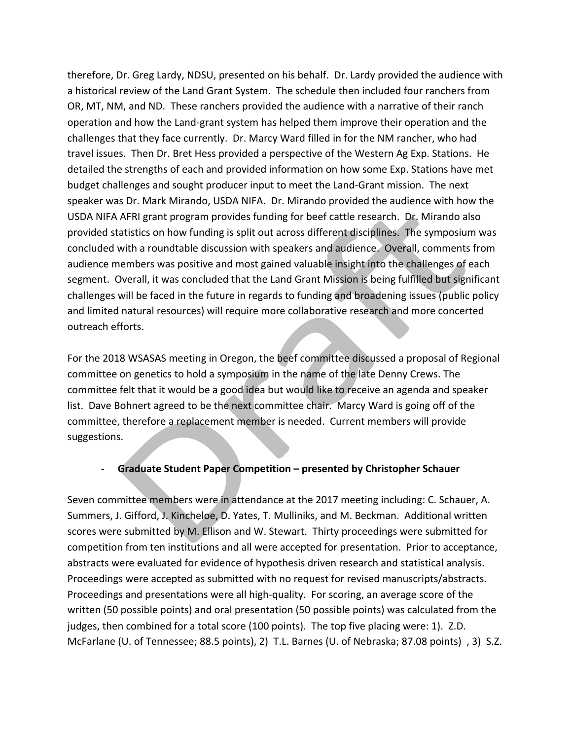therefore, Dr. Greg Lardy, NDSU, presented on his behalf. Dr. Lardy provided the audience with a historical review of the Land Grant System. The schedule then included four ranchers from OR, MT, NM, and ND. These ranchers provided the audience with a narrative of their ranch operation and how the Land-grant system has helped them improve their operation and the challenges that they face currently. Dr. Marcy Ward filled in for the NM rancher, who had travel issues. Then Dr. Bret Hess provided a perspective of the Western Ag Exp. Stations. He detailed the strengths of each and provided information on how some Exp. Stations have met budget challenges and sought producer input to meet the Land-Grant mission. The next speaker was Dr. Mark Mirando, USDA NIFA. Dr. Mirando provided the audience with how the USDA NIFA AFRI grant program provides funding for beef cattle research. Dr. Mirando also provided statistics on how funding is split out across different disciplines. The symposium was concluded with a roundtable discussion with speakers and audience. Overall, comments from audience members was positive and most gained valuable insight into the challenges of each segment. Overall, it was concluded that the Land Grant Mission is being fulfilled but significant challenges will be faced in the future in regards to funding and broadening issues (public policy and limited natural resources) will require more collaborative research and more concerted outreach efforts. 

For the 2018 WSASAS meeting in Oregon, the beef committee discussed a proposal of Regional committee on genetics to hold a symposium in the name of the late Denny Crews. The committee felt that it would be a good idea but would like to receive an agenda and speaker list. Dave Bohnert agreed to be the next committee chair. Marcy Ward is going off of the committee, therefore a replacement member is needed. Current members will provide suggestions. 

## **-** Graduate Student Paper Competition – presented by Christopher Schauer

Seven committee members were in attendance at the 2017 meeting including: C. Schauer, A. Summers, J. Gifford, J. Kincheloe, D. Yates, T. Mulliniks, and M. Beckman. Additional written scores were submitted by M. Ellison and W. Stewart. Thirty proceedings were submitted for competition from ten institutions and all were accepted for presentation. Prior to acceptance, abstracts were evaluated for evidence of hypothesis driven research and statistical analysis. Proceedings were accepted as submitted with no request for revised manuscripts/abstracts. Proceedings and presentations were all high-quality. For scoring, an average score of the written (50 possible points) and oral presentation (50 possible points) was calculated from the judges, then combined for a total score (100 points). The top five placing were: 1). Z.D. McFarlane (U. of Tennessee; 88.5 points), 2) T.L. Barnes (U. of Nebraska; 87.08 points), 3) S.Z.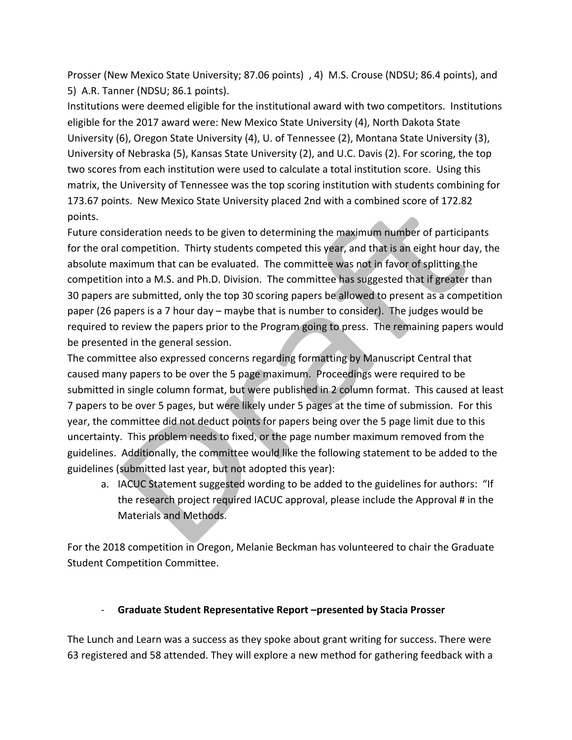Prosser (New Mexico State University; 87.06 points) , 4) M.S. Crouse (NDSU; 86.4 points), and 5) A.R. Tanner (NDSU; 86.1 points).

Institutions were deemed eligible for the institutional award with two competitors. Institutions eligible for the 2017 award were: New Mexico State University (4), North Dakota State University (6), Oregon State University (4), U. of Tennessee (2), Montana State University (3), University of Nebraska (5), Kansas State University (2), and U.C. Davis (2). For scoring, the top two scores from each institution were used to calculate a total institution score. Using this matrix, the University of Tennessee was the top scoring institution with students combining for 173.67 points. New Mexico State University placed 2nd with a combined score of 172.82 points.

Future consideration needs to be given to determining the maximum number of participants for the oral competition. Thirty students competed this year, and that is an eight hour day, the absolute maximum that can be evaluated. The committee was not in favor of splitting the competition into a M.S. and Ph.D. Division. The committee has suggested that if greater than 30 papers are submitted, only the top 30 scoring papers be allowed to present as a competition paper  $(26$  papers is a 7 hour day – maybe that is number to consider). The judges would be required to review the papers prior to the Program going to press. The remaining papers would be presented in the general session.

The committee also expressed concerns regarding formatting by Manuscript Central that caused many papers to be over the 5 page maximum. Proceedings were required to be submitted in single column format, but were published in 2 column format. This caused at least 7 papers to be over 5 pages, but were likely under 5 pages at the time of submission. For this year, the committee did not deduct points for papers being over the 5 page limit due to this uncertainty. This problem needs to fixed, or the page number maximum removed from the guidelines. Additionally, the committee would like the following statement to be added to the guidelines (submitted last year, but not adopted this year):

a. IACUC Statement suggested wording to be added to the guidelines for authors: "If the research project required IACUC approval, please include the Approval # in the Materials and Methods.

For the 2018 competition in Oregon, Melanie Beckman has volunteered to chair the Graduate Student Competition Committee.

## - **Graduate Student Representative Report –presented by Stacia Prosser**

The Lunch and Learn was a success as they spoke about grant writing for success. There were 63 registered and 58 attended. They will explore a new method for gathering feedback with a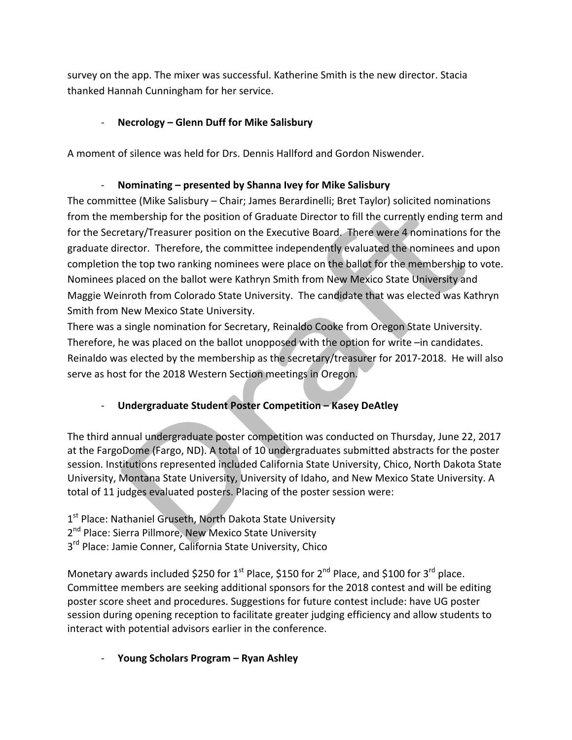survey on the app. The mixer was successful. Katherine Smith is the new director. Stacia thanked Hannah Cunningham for her service. 

## - Necrology – Glenn Duff for Mike Salisbury

A moment of silence was held for Drs. Dennis Hallford and Gordon Niswender.

## - **Nominating** – presented by Shanna Ivey for Mike Salisbury

The committee (Mike Salisbury – Chair; James Berardinelli; Bret Taylor) solicited nominations from the membership for the position of Graduate Director to fill the currently ending term and for the Secretary/Treasurer position on the Executive Board. There were 4 nominations for the graduate director. Therefore, the committee independently evaluated the nominees and upon completion the top two ranking nominees were place on the ballot for the membership to vote. Nominees placed on the ballot were Kathryn Smith from New Mexico State University and Maggie Weinroth from Colorado State University. The candidate that was elected was Kathryn Smith from New Mexico State University.

There was a single nomination for Secretary, Reinaldo Cooke from Oregon State University. Therefore, he was placed on the ballot unopposed with the option for write  $-$ in candidates. Reinaldo was elected by the membership as the secretary/treasurer for 2017-2018. He will also serve as host for the 2018 Western Section meetings in Oregon.

## - **Undergraduate Student Poster Competition - Kasey DeAtley**

The third annual undergraduate poster competition was conducted on Thursday, June 22, 2017 at the FargoDome (Fargo, ND). A total of 10 undergraduates submitted abstracts for the poster session. Institutions represented included California State University, Chico, North Dakota State University, Montana State University, University of Idaho, and New Mexico State University. A total of 11 judges evaluated posters. Placing of the poster session were:

1<sup>st</sup> Place: Nathaniel Gruseth, North Dakota State University 2<sup>nd</sup> Place: Sierra Pillmore, New Mexico State University 3<sup>rd</sup> Place: Jamie Conner, California State University, Chico

Monetary awards included \$250 for 1<sup>st</sup> Place, \$150 for 2<sup>nd</sup> Place, and \$100 for 3<sup>rd</sup> place. Committee members are seeking additional sponsors for the 2018 contest and will be editing poster score sheet and procedures. Suggestions for future contest include: have UG poster session during opening reception to facilitate greater judging efficiency and allow students to interact with potential advisors earlier in the conference.

**- Young Scholars Program – Ryan Ashley**